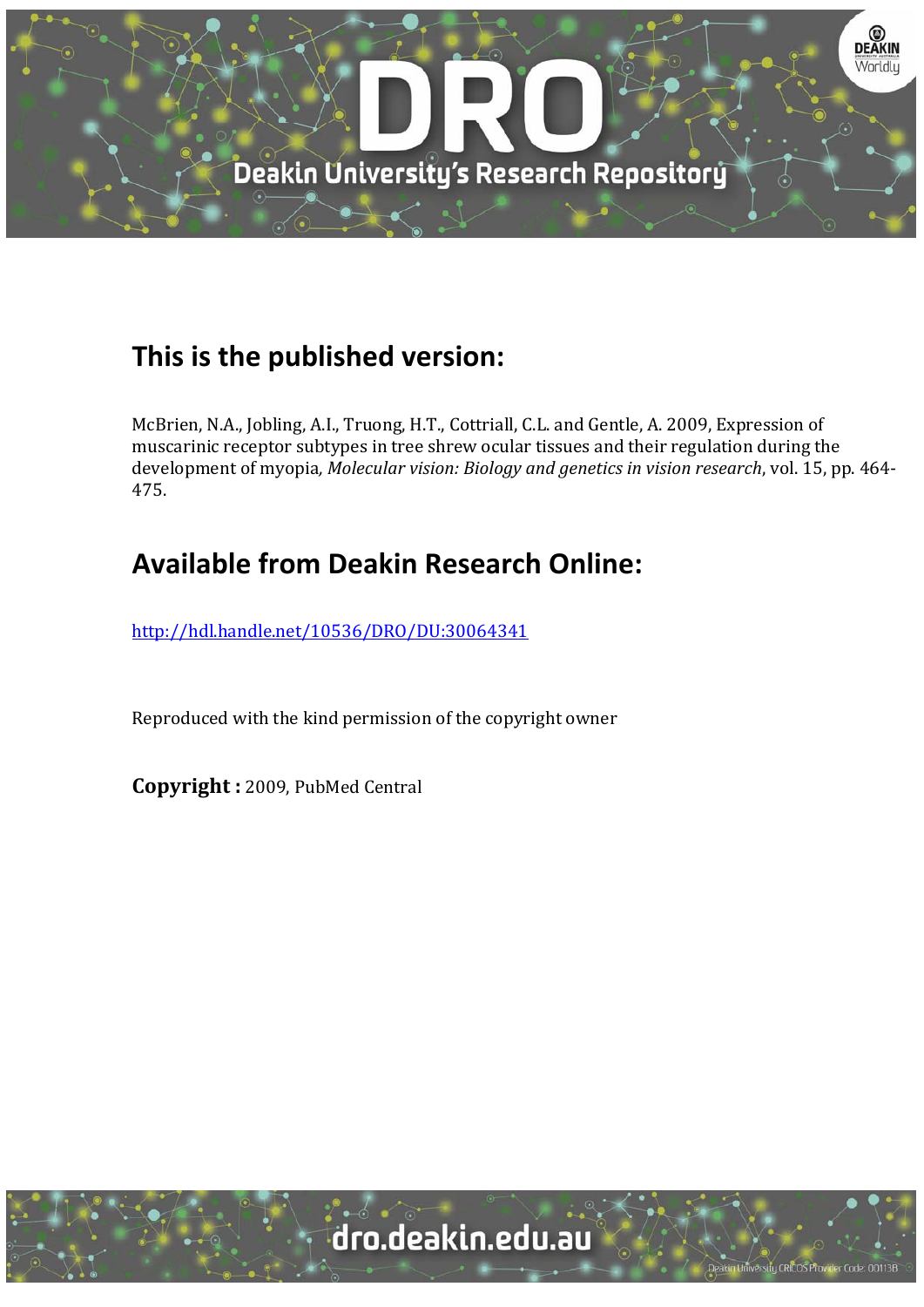

## **This is the published version:**

McBrien, N.A., Jobling, A.I., Truong, H.T., Cottriall, C.L. and Gentle, A. 2009, Expression of muscarinic receptor subtypes in tree shrew ocular tissues and their regulation during the development of myopia, Molecular vision: Biology and genetics in vision research, vol. 15, pp. 464-475. 

# **Available from Deakin Research Online:**

http://hdl.handle.net/10536/DRO/DU:30064341

Reproduced with the kind permission of the copyright owner

**Copyright :** 2009, PubMed Central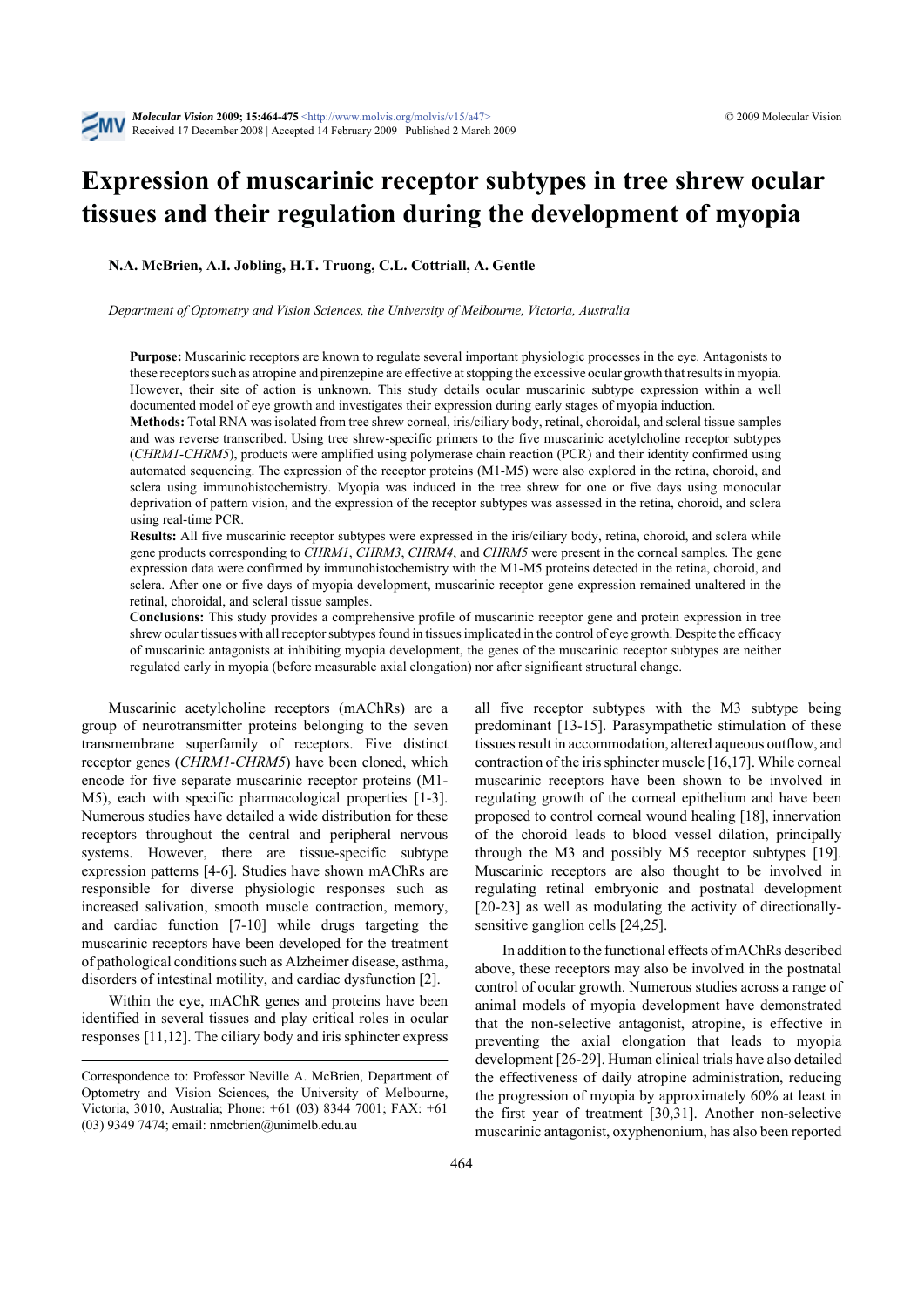### **Expression of muscarinic receptor subtypes in tree shrew ocular tissues and their regulation during the development of myopia**

**N.A. McBrien, A.I. Jobling, H.T. Truong, C.L. Cottriall, A. Gentle**

*Department of Optometry and Vision Sciences, the University of Melbourne, Victoria, Australia*

**Purpose:** Muscarinic receptors are known to regulate several important physiologic processes in the eye. Antagonists to these receptors such as atropine and pirenzepine are effective at stopping the excessive ocular growth that results in myopia. However, their site of action is unknown. This study details ocular muscarinic subtype expression within a well documented model of eye growth and investigates their expression during early stages of myopia induction.

**Methods:** Total RNA was isolated from tree shrew corneal, iris/ciliary body, retinal, choroidal, and scleral tissue samples and was reverse transcribed. Using tree shrew-specific primers to the five muscarinic acetylcholine receptor subtypes (*CHRM1*-*CHRM5*), products were amplified using polymerase chain reaction (PCR) and their identity confirmed using automated sequencing. The expression of the receptor proteins (M1-M5) were also explored in the retina, choroid, and sclera using immunohistochemistry. Myopia was induced in the tree shrew for one or five days using monocular deprivation of pattern vision, and the expression of the receptor subtypes was assessed in the retina, choroid, and sclera using real-time PCR.

**Results:** All five muscarinic receptor subtypes were expressed in the iris/ciliary body, retina, choroid, and sclera while gene products corresponding to *CHRM1*, *CHRM3*, *CHRM4*, and *CHRM5* were present in the corneal samples. The gene expression data were confirmed by immunohistochemistry with the M1-M5 proteins detected in the retina, choroid, and sclera. After one or five days of myopia development, muscarinic receptor gene expression remained unaltered in the retinal, choroidal, and scleral tissue samples.

**Conclusions:** This study provides a comprehensive profile of muscarinic receptor gene and protein expression in tree shrew ocular tissues with all receptor subtypes found in tissues implicated in the control of eye growth. Despite the efficacy of muscarinic antagonists at inhibiting myopia development, the genes of the muscarinic receptor subtypes are neither regulated early in myopia (before measurable axial elongation) nor after significant structural change.

Muscarinic acetylcholine receptors (mAChRs) are a group of neurotransmitter proteins belonging to the seven transmembrane superfamily of receptors. Five distinct receptor genes (*CHRM1*-*CHRM5*) have been cloned, which encode for five separate muscarinic receptor proteins (M1- M5), each with specific pharmacological properties [1-3]. Numerous studies have detailed a wide distribution for these receptors throughout the central and peripheral nervous systems. However, there are tissue-specific subtype expression patterns [4-6]. Studies have shown mAChRs are responsible for diverse physiologic responses such as increased salivation, smooth muscle contraction, memory, and cardiac function [7-10] while drugs targeting the muscarinic receptors have been developed for the treatment of pathological conditions such as Alzheimer disease, asthma, disorders of intestinal motility, and cardiac dysfunction [2].

Within the eye, mAChR genes and proteins have been identified in several tissues and play critical roles in ocular responses [11,12]. The ciliary body and iris sphincter express

all five receptor subtypes with the M3 subtype being predominant [13-15]. Parasympathetic stimulation of these tissues result in accommodation, altered aqueous outflow, and contraction of the iris sphincter muscle [16,17]. While corneal muscarinic receptors have been shown to be involved in regulating growth of the corneal epithelium and have been proposed to control corneal wound healing [18], innervation of the choroid leads to blood vessel dilation, principally through the M3 and possibly M5 receptor subtypes [19]. Muscarinic receptors are also thought to be involved in regulating retinal embryonic and postnatal development [20-23] as well as modulating the activity of directionallysensitive ganglion cells [24,25].

In addition to the functional effects of mAChRs described above, these receptors may also be involved in the postnatal control of ocular growth. Numerous studies across a range of animal models of myopia development have demonstrated that the non-selective antagonist, atropine, is effective in preventing the axial elongation that leads to myopia development [26-29]. Human clinical trials have also detailed the effectiveness of daily atropine administration, reducing the progression of myopia by approximately 60% at least in the first year of treatment [30,31]. Another non-selective muscarinic antagonist, oxyphenonium, has also been reported

Correspondence to: Professor Neville A. McBrien, Department of Optometry and Vision Sciences, the University of Melbourne, Victoria, 3010, Australia; Phone: +61 (03) 8344 7001; FAX: +61 (03) 9349 7474; email: nmcbrien@unimelb.edu.au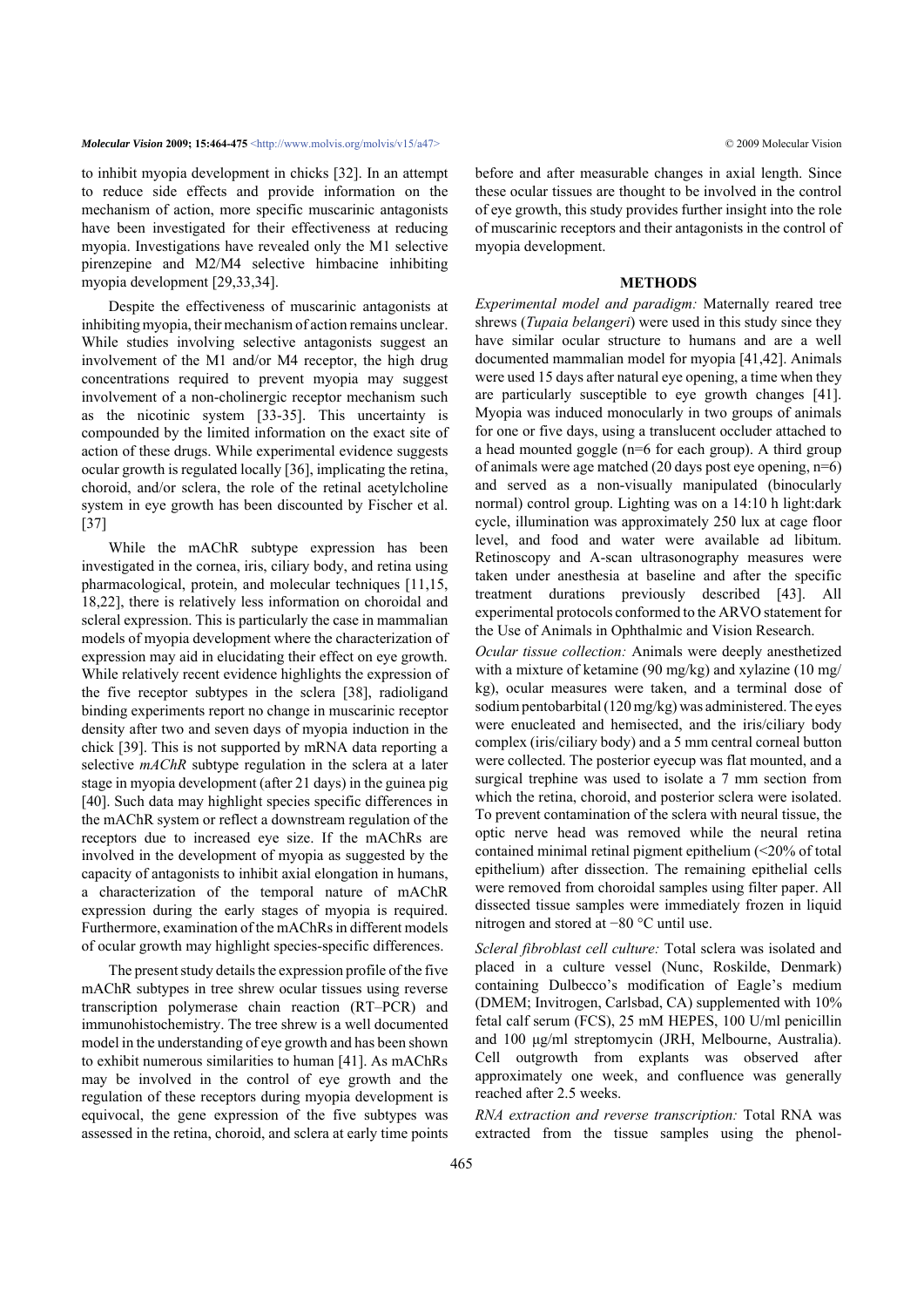to inhibit myopia development in chicks [32]. In an attempt to reduce side effects and provide information on the mechanism of action, more specific muscarinic antagonists have been investigated for their effectiveness at reducing myopia. Investigations have revealed only the M1 selective pirenzepine and M2/M4 selective himbacine inhibiting myopia development [29,33,34].

Despite the effectiveness of muscarinic antagonists at inhibiting myopia, their mechanism of action remains unclear. While studies involving selective antagonists suggest an involvement of the M1 and/or M4 receptor, the high drug concentrations required to prevent myopia may suggest involvement of a non-cholinergic receptor mechanism such as the nicotinic system [33-35]. This uncertainty is compounded by the limited information on the exact site of action of these drugs. While experimental evidence suggests ocular growth is regulated locally [36], implicating the retina, choroid, and/or sclera, the role of the retinal acetylcholine system in eye growth has been discounted by Fischer et al. [37]

While the mAChR subtype expression has been investigated in the cornea, iris, ciliary body, and retina using pharmacological, protein, and molecular techniques [11,15, 18,22], there is relatively less information on choroidal and scleral expression. This is particularly the case in mammalian models of myopia development where the characterization of expression may aid in elucidating their effect on eye growth. While relatively recent evidence highlights the expression of the five receptor subtypes in the sclera [38], radioligand binding experiments report no change in muscarinic receptor density after two and seven days of myopia induction in the chick [39]. This is not supported by mRNA data reporting a selective *mAChR* subtype regulation in the sclera at a later stage in myopia development (after 21 days) in the guinea pig [40]. Such data may highlight species specific differences in the mAChR system or reflect a downstream regulation of the receptors due to increased eye size. If the mAChRs are involved in the development of myopia as suggested by the capacity of antagonists to inhibit axial elongation in humans, a characterization of the temporal nature of mAChR expression during the early stages of myopia is required. Furthermore, examination of the mAChRs in different models of ocular growth may highlight species-specific differences.

The present study details the expression profile of the five mAChR subtypes in tree shrew ocular tissues using reverse transcription polymerase chain reaction (RT–PCR) and immunohistochemistry. The tree shrew is a well documented model in the understanding of eye growth and has been shown to exhibit numerous similarities to human [41]. As mAChRs may be involved in the control of eye growth and the regulation of these receptors during myopia development is equivocal, the gene expression of the five subtypes was assessed in the retina, choroid, and sclera at early time points before and after measurable changes in axial length. Since these ocular tissues are thought to be involved in the control of eye growth, this study provides further insight into the role of muscarinic receptors and their antagonists in the control of myopia development.

#### **METHODS**

*Experimental model and paradigm:* Maternally reared tree shrews (*Tupaia belangeri*) were used in this study since they have similar ocular structure to humans and are a well documented mammalian model for myopia [41,42]. Animals were used 15 days after natural eye opening, a time when they are particularly susceptible to eye growth changes [41]. Myopia was induced monocularly in two groups of animals for one or five days, using a translucent occluder attached to a head mounted goggle (n=6 for each group). A third group of animals were age matched (20 days post eye opening, n=6) and served as a non-visually manipulated (binocularly normal) control group. Lighting was on a 14:10 h light:dark cycle, illumination was approximately 250 lux at cage floor level, and food and water were available ad libitum. Retinoscopy and A-scan ultrasonography measures were taken under anesthesia at baseline and after the specific treatment durations previously described [43]. All experimental protocols conformed to the ARVO statement for the Use of Animals in Ophthalmic and Vision Research.

*Ocular tissue collection:* Animals were deeply anesthetized with a mixture of ketamine (90 mg/kg) and xylazine (10 mg/ kg), ocular measures were taken, and a terminal dose of sodium pentobarbital (120 mg/kg) was administered. The eyes were enucleated and hemisected, and the iris/ciliary body complex (iris/ciliary body) and a 5 mm central corneal button were collected. The posterior eyecup was flat mounted, and a surgical trephine was used to isolate a 7 mm section from which the retina, choroid, and posterior sclera were isolated. To prevent contamination of the sclera with neural tissue, the optic nerve head was removed while the neural retina contained minimal retinal pigment epithelium (<20% of total epithelium) after dissection. The remaining epithelial cells were removed from choroidal samples using filter paper. All dissected tissue samples were immediately frozen in liquid nitrogen and stored at −80 °C until use.

*Scleral fibroblast cell culture:* Total sclera was isolated and placed in a culture vessel (Nunc, Roskilde, Denmark) containing Dulbecco's modification of Eagle's medium (DMEM; Invitrogen, Carlsbad, CA) supplemented with 10% fetal calf serum (FCS), 25 mM HEPES, 100 U/ml penicillin and 100 μg/ml streptomycin (JRH, Melbourne, Australia). Cell outgrowth from explants was observed after approximately one week, and confluence was generally reached after 2.5 weeks.

*RNA* extraction and reverse transcription: Total RNA was extracted from the tissue samples using the phenol-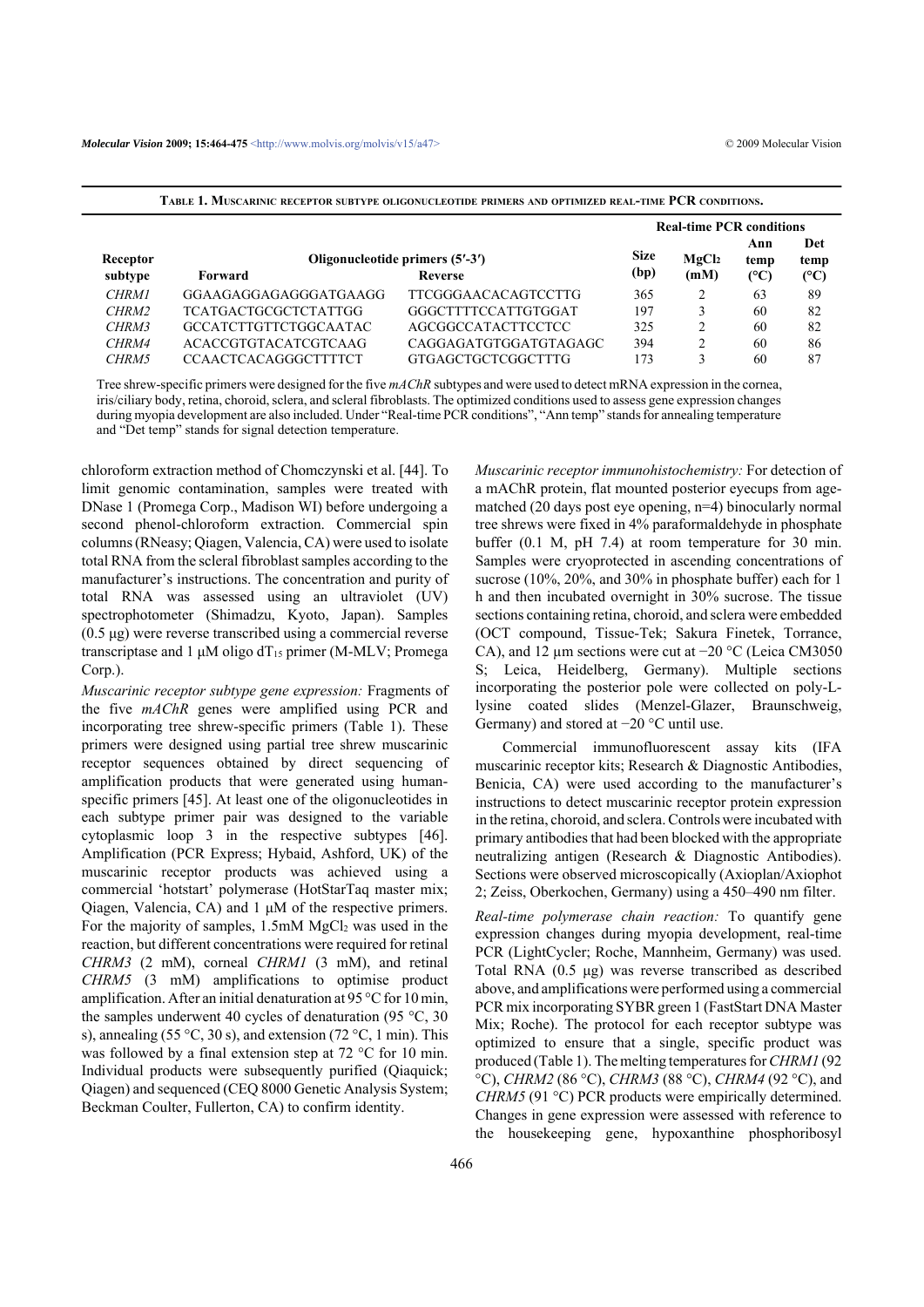| Receptor<br>subtype |                                                              |                       | <b>Real-time PCR conditions</b> |                           |                    |                    |
|---------------------|--------------------------------------------------------------|-----------------------|---------------------------------|---------------------------|--------------------|--------------------|
|                     | Oligonucleotide primers (5'-3')<br><b>Reverse</b><br>Forward |                       |                                 | MgCl <sub>2</sub><br>(mM) | Ann<br>temp<br>(C) | Det<br>temp<br>(C) |
| <b>CHRM1</b>        | GGAAGAGGAGAGGGATGAAGG                                        | TTCGGGAACACAGTCCTTG   | 365                             | 2                         | 63                 | 89                 |
| CHRM2               | <b>TCATGACTGCGCTCTATTGG</b>                                  | GGGCTTTTCCATTGTGGAT   | 197                             |                           | 60                 | 82                 |
| CHRM3               | <b>GCCATCTTGTTCTGGCAATAC</b>                                 | AGCGGCCATACTTCCTCC    | 325                             | 2                         | 60                 | 82                 |
| CHRM4               | <b>ACACCGTGTACATCGTCAAG</b>                                  | CAGGAGATGTGGATGTAGAGC | 394                             | 2                         | 60                 | 86                 |
| CHRM5               | CCAACTCACAGGGCTTTTCT                                         | GTGAGCTGCTCGGCTTTG    | 173                             |                           | 60                 | 87                 |

**TABLE 1. MUSCARINIC RECEPTOR SUBTYPE OLIGONUCLEOTIDE PRIMERS AND OPTIMIZED REAL-TIME PCR CONDITIONS.**

Tree shrew-specific primers were designed for the five *mAChR* subtypes and were used to detect mRNA expression in the cornea, iris/ciliary body, retina, choroid, sclera, and scleral fibroblasts. The optimized conditions used to assess gene expression changes during myopia development are also included. Under "Real-time PCR conditions", "Ann temp" stands for annealing temperature and "Det temp" stands for signal detection temperature.

chloroform extraction method of Chomczynski et al. [44]. To limit genomic contamination, samples were treated with DNase 1 (Promega Corp., Madison WI) before undergoing a second phenol-chloroform extraction. Commercial spin columns (RNeasy; Qiagen, Valencia, CA) were used to isolate total RNA from the scleral fibroblast samples according to the manufacturer's instructions. The concentration and purity of total RNA was assessed using an ultraviolet (UV) spectrophotometer (Shimadzu, Kyoto, Japan). Samples (0.5 μg) were reverse transcribed using a commercial reverse transcriptase and 1  $\mu$ M oligo dT<sub>15</sub> primer (M-MLV; Promega Corp.).

*Muscarinic receptor subtype gene expression:* Fragments of the five *mAChR* genes were amplified using PCR and incorporating tree shrew-specific primers (Table 1). These primers were designed using partial tree shrew muscarinic receptor sequences obtained by direct sequencing of amplification products that were generated using humanspecific primers [45]. At least one of the oligonucleotides in each subtype primer pair was designed to the variable cytoplasmic loop 3 in the respective subtypes [46]. Amplification (PCR Express; Hybaid, Ashford, UK) of the muscarinic receptor products was achieved using a commercial 'hotstart' polymerase (HotStarTaq master mix; Qiagen, Valencia, CA) and 1 μM of the respective primers. For the majority of samples,  $1.5 \text{m} \text{M}$  MgCl<sub>2</sub> was used in the reaction, but different concentrations were required for retinal *CHRM3* (2 mM), corneal *CHRM1* (3 mM), and retinal *CHRM5* (3 mM) amplifications to optimise product amplification. After an initial denaturation at 95 °C for 10 min, the samples underwent 40 cycles of denaturation (95 °C, 30 s), annealing (55 °C, 30 s), and extension (72 °C, 1 min). This was followed by a final extension step at 72 °C for 10 min. Individual products were subsequently purified (Qiaquick; Qiagen) and sequenced (CEQ 8000 Genetic Analysis System; Beckman Coulter, Fullerton, CA) to confirm identity.

*Muscarinic receptor immunohistochemistry:* For detection of a mAChR protein, flat mounted posterior eyecups from agematched (20 days post eye opening, n=4) binocularly normal tree shrews were fixed in 4% paraformaldehyde in phosphate buffer (0.1 M, pH 7.4) at room temperature for 30 min. Samples were cryoprotected in ascending concentrations of sucrose (10%, 20%, and 30% in phosphate buffer) each for 1 h and then incubated overnight in 30% sucrose. The tissue sections containing retina, choroid, and sclera were embedded (OCT compound, Tissue-Tek; Sakura Finetek, Torrance, CA), and 12 μm sections were cut at −20 °C (Leica CM3050 S; Leica, Heidelberg, Germany). Multiple sections incorporating the posterior pole were collected on poly-Llysine coated slides (Menzel-Glazer, Braunschweig, Germany) and stored at −20 °C until use.

Commercial immunofluorescent assay kits (IFA muscarinic receptor kits; Research & Diagnostic Antibodies, Benicia, CA) were used according to the manufacturer's instructions to detect muscarinic receptor protein expression in the retina, choroid, and sclera. Controls were incubated with primary antibodies that had been blocked with the appropriate neutralizing antigen (Research & Diagnostic Antibodies). Sections were observed microscopically (Axioplan/Axiophot 2; Zeiss, Oberkochen, Germany) using a 450–490 nm filter.

*Real-time polymerase chain reaction:* To quantify gene expression changes during myopia development, real-time PCR (LightCycler; Roche, Mannheim, Germany) was used. Total RNA (0.5 μg) was reverse transcribed as described above, and amplifications were performed using a commercial PCR mix incorporating SYBR green 1 (FastStart DNA Master Mix; Roche). The protocol for each receptor subtype was optimized to ensure that a single, specific product was produced (Table 1). The melting temperatures for *CHRM1* (92 °C), *CHRM2* (86 °C), *CHRM3* (88 °C), *CHRM4* (92 °C), and *CHRM5* (91 °C) PCR products were empirically determined. Changes in gene expression were assessed with reference to the housekeeping gene, hypoxanthine phosphoribosyl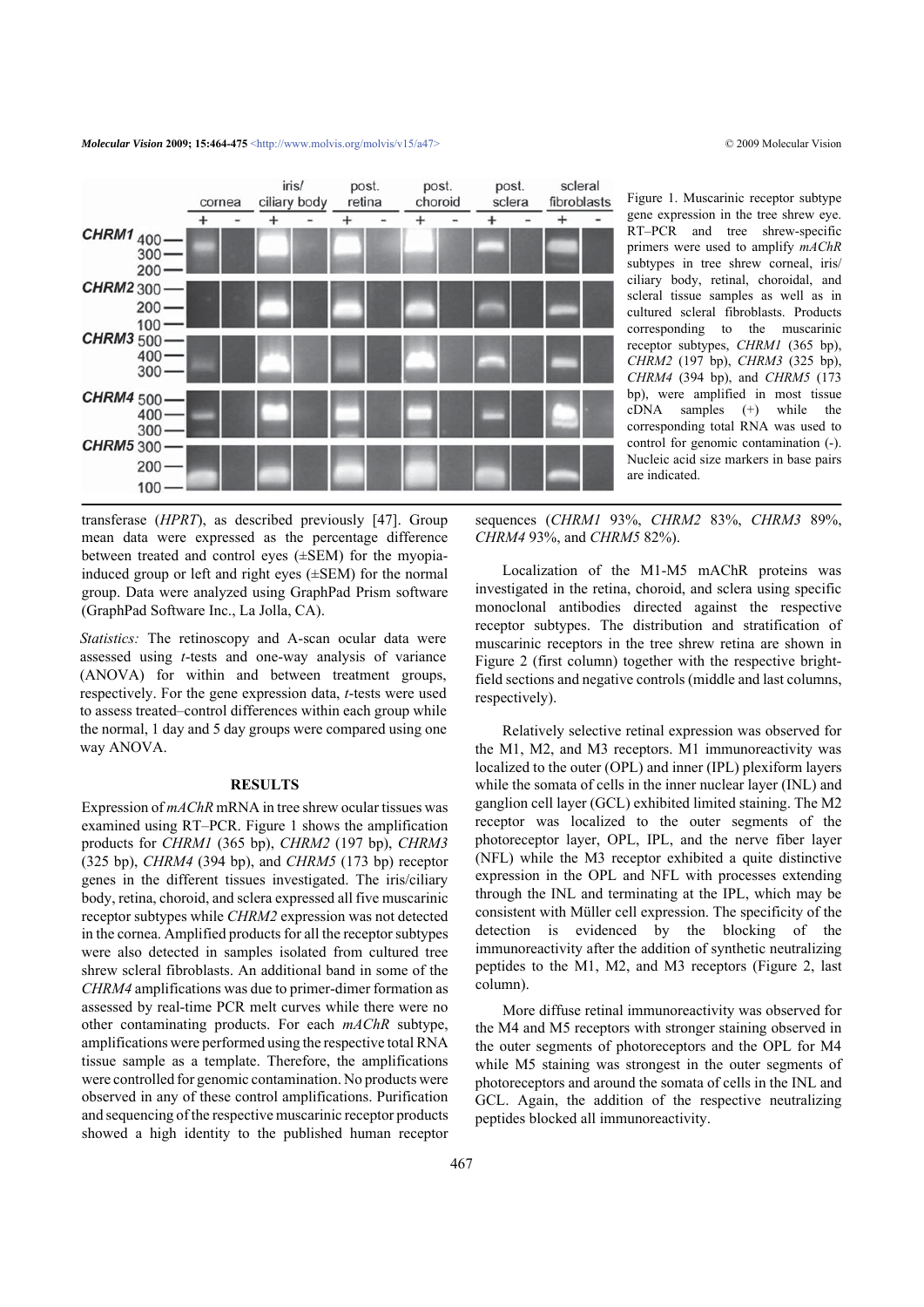

Figure 1. Muscarinic receptor subtype gene expression in the tree shrew eye. RT–PCR and tree shrew-specific primers were used to amplify *mAChR* subtypes in tree shrew corneal, iris/ ciliary body, retinal, choroidal, and scleral tissue samples as well as in cultured scleral fibroblasts. Products corresponding to the muscarinic receptor subtypes, *CHRM1* (365 bp), *CHRM2* (197 bp), *CHRM3* (325 bp), *CHRM4* (394 bp), and *CHRM5* (173 bp), were amplified in most tissue cDNA samples (+) while the corresponding total RNA was used to control for genomic contamination (-). Nucleic acid size markers in base pairs are indicated.

transferase (*HPRT*), as described previously [47]. Group mean data were expressed as the percentage difference between treated and control eyes (±SEM) for the myopiainduced group or left and right eyes (±SEM) for the normal group. Data were analyzed using GraphPad Prism software (GraphPad Software Inc., La Jolla, CA).

*Statistics:* The retinoscopy and A-scan ocular data were assessed using *t*-tests and one-way analysis of variance (ANOVA) for within and between treatment groups, respectively. For the gene expression data, *t*-tests were used to assess treated–control differences within each group while the normal, 1 day and 5 day groups were compared using one way ANOVA.

#### **RESULTS**

Expression of *mAChR* mRNA in tree shrew ocular tissues was examined using RT–PCR. Figure 1 shows the amplification products for *CHRM1* (365 bp), *CHRM2* (197 bp), *CHRM3* (325 bp), *CHRM4* (394 bp), and *CHRM5* (173 bp) receptor genes in the different tissues investigated. The iris/ciliary body, retina, choroid, and sclera expressed all five muscarinic receptor subtypes while *CHRM2* expression was not detected in the cornea. Amplified products for all the receptor subtypes were also detected in samples isolated from cultured tree shrew scleral fibroblasts. An additional band in some of the *CHRM4* amplifications was due to primer-dimer formation as assessed by real-time PCR melt curves while there were no other contaminating products. For each *mAChR* subtype, amplifications were performed using the respective total RNA tissue sample as a template. Therefore, the amplifications were controlled for genomic contamination. No products were observed in any of these control amplifications. Purification and sequencing of the respective muscarinic receptor products showed a high identity to the published human receptor

sequences (*CHRM1* 93%, *CHRM2* 83%, *CHRM3* 89%, *CHRM4* 93%, and *CHRM5* 82%).

Localization of the M1-M5 mAChR proteins was investigated in the retina, choroid, and sclera using specific monoclonal antibodies directed against the respective receptor subtypes. The distribution and stratification of muscarinic receptors in the tree shrew retina are shown in Figure 2 (first column) together with the respective brightfield sections and negative controls (middle and last columns, respectively).

Relatively selective retinal expression was observed for the M1, M2, and M3 receptors. M1 immunoreactivity was localized to the outer (OPL) and inner (IPL) plexiform layers while the somata of cells in the inner nuclear layer (INL) and ganglion cell layer (GCL) exhibited limited staining. The M2 receptor was localized to the outer segments of the photoreceptor layer, OPL, IPL, and the nerve fiber layer (NFL) while the M3 receptor exhibited a quite distinctive expression in the OPL and NFL with processes extending through the INL and terminating at the IPL, which may be consistent with Müller cell expression. The specificity of the detection is evidenced by the blocking of the immunoreactivity after the addition of synthetic neutralizing peptides to the M1, M2, and M3 receptors (Figure 2, last column).

More diffuse retinal immunoreactivity was observed for the M4 and M5 receptors with stronger staining observed in the outer segments of photoreceptors and the OPL for M4 while M5 staining was strongest in the outer segments of photoreceptors and around the somata of cells in the INL and GCL. Again, the addition of the respective neutralizing peptides blocked all immunoreactivity.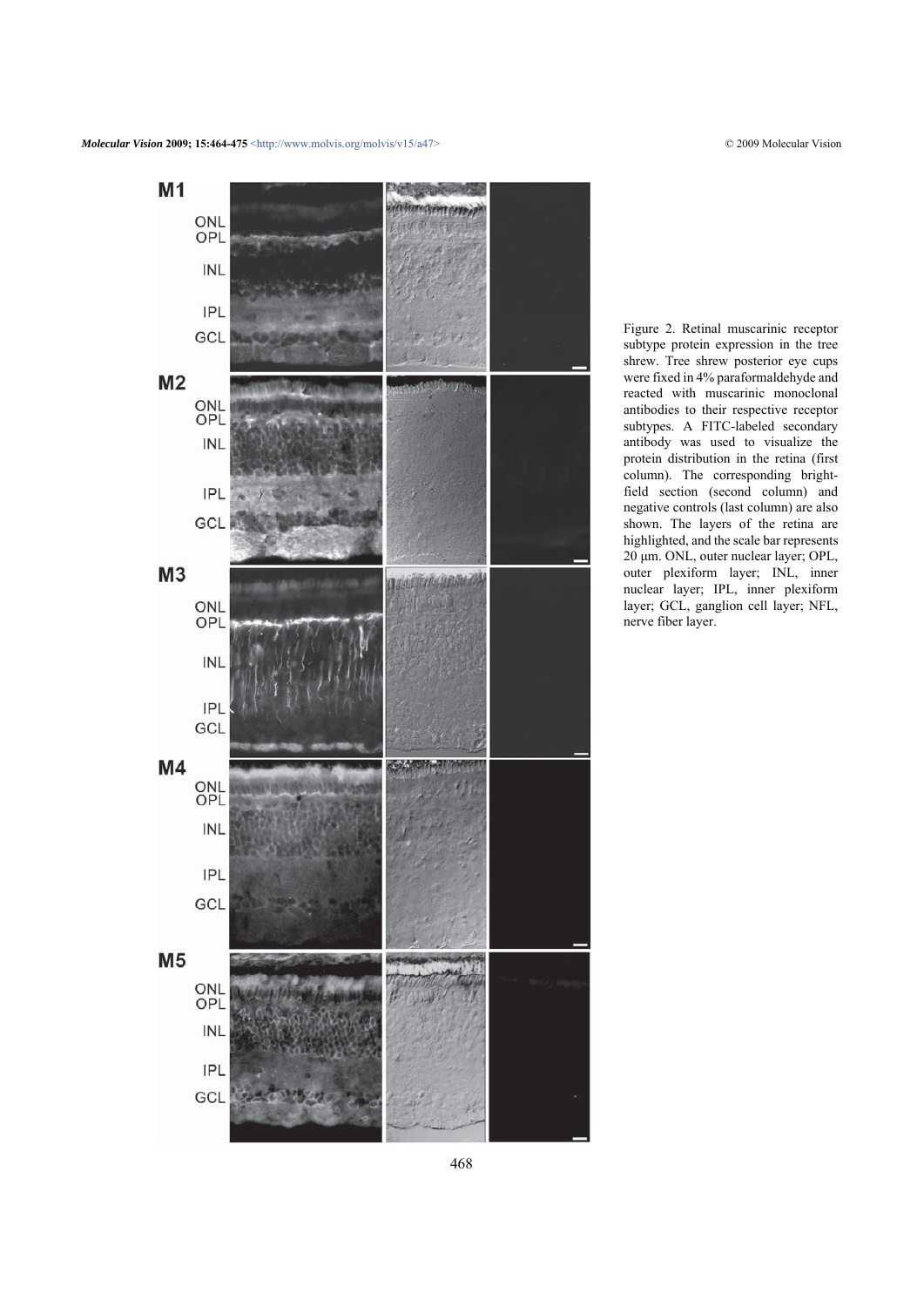

Figure 2. Retinal muscarinic receptor subtype protein expression in the tree shrew. Tree shrew posterior eye cups were fixed in 4% paraformaldehyde and reacted with muscarinic monoclonal antibodies to their respective receptor subtypes. A FITC-labeled secondary antibody was used to visualize the protein distribution in the retina (first column). The corresponding brightfield section (second column) and negative controls (last column) are also shown. The layers of the retina are highlighted, and the scale bar represents 20 μm. ONL, outer nuclear layer; OPL, outer plexiform layer; INL, inner nuclear layer; IPL, inner plexiform layer; GCL, ganglion cell layer; NFL, nerve fiber layer.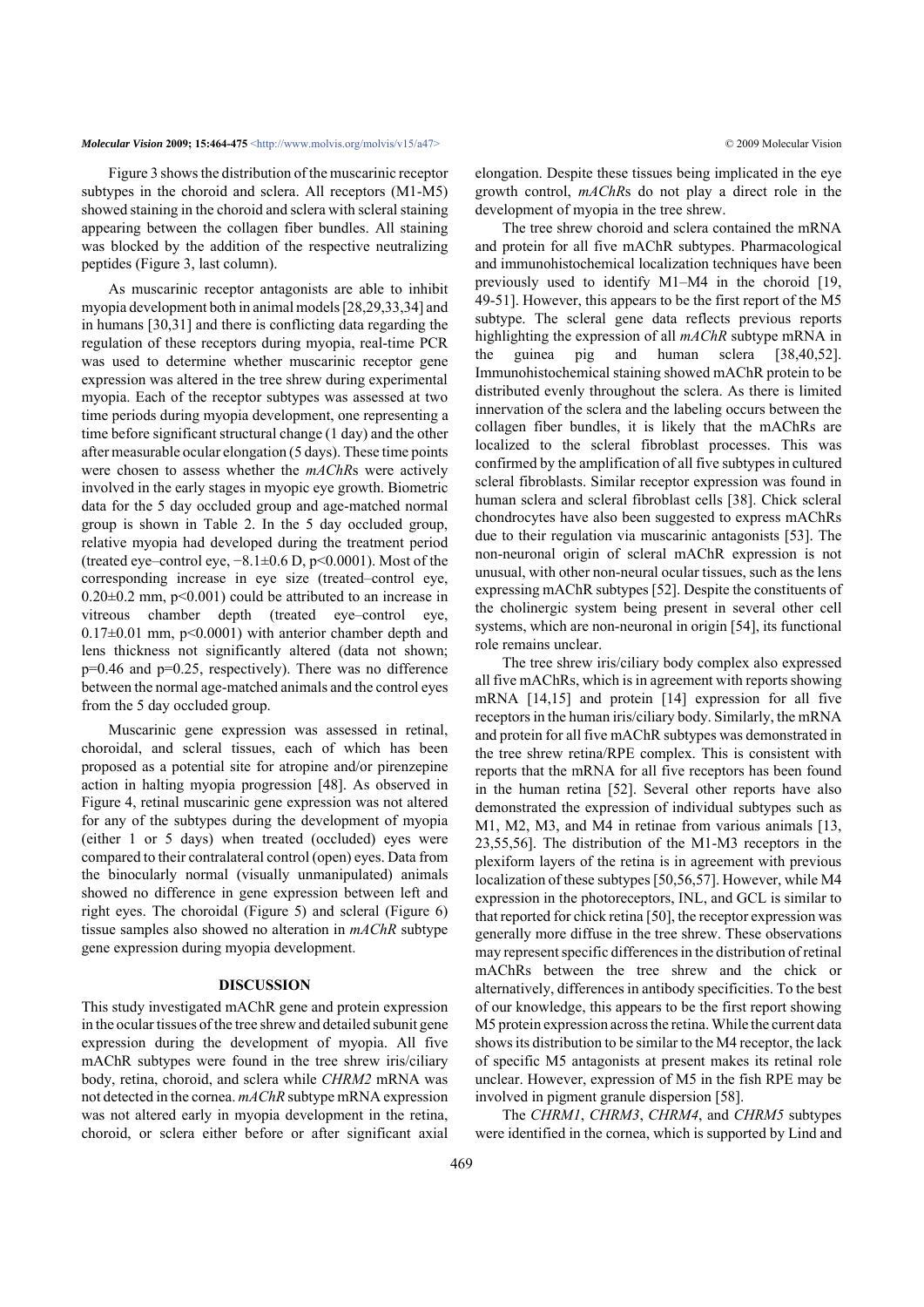Figure 3 shows the distribution of the muscarinic receptor subtypes in the choroid and sclera. All receptors (M1-M5) showed staining in the choroid and sclera with scleral staining appearing between the collagen fiber bundles. All staining was blocked by the addition of the respective neutralizing peptides (Figure 3, last column).

As muscarinic receptor antagonists are able to inhibit myopia development both in animal models [28,29,33,34] and in humans [30,31] and there is conflicting data regarding the regulation of these receptors during myopia, real-time PCR was used to determine whether muscarinic receptor gene expression was altered in the tree shrew during experimental myopia. Each of the receptor subtypes was assessed at two time periods during myopia development, one representing a time before significant structural change (1 day) and the other after measurable ocular elongation (5 days). These time points were chosen to assess whether the *mAChR*s were actively involved in the early stages in myopic eye growth. Biometric data for the 5 day occluded group and age-matched normal group is shown in Table 2. In the 5 day occluded group, relative myopia had developed during the treatment period (treated eye–control eye,  $-8.1\pm0.6$  D, p<0.0001). Most of the corresponding increase in eye size (treated–control eye,  $0.20\pm0.2$  mm,  $p<0.001$ ) could be attributed to an increase in vitreous chamber depth (treated eye–control eye, 0.17±0.01 mm, p<0.0001) with anterior chamber depth and lens thickness not significantly altered (data not shown; p=0.46 and p=0.25, respectively). There was no difference between the normal age-matched animals and the control eyes from the 5 day occluded group.

Muscarinic gene expression was assessed in retinal, choroidal, and scleral tissues, each of which has been proposed as a potential site for atropine and/or pirenzepine action in halting myopia progression [48]. As observed in Figure 4, retinal muscarinic gene expression was not altered for any of the subtypes during the development of myopia (either 1 or 5 days) when treated (occluded) eyes were compared to their contralateral control (open) eyes. Data from the binocularly normal (visually unmanipulated) animals showed no difference in gene expression between left and right eyes. The choroidal (Figure 5) and scleral (Figure 6) tissue samples also showed no alteration in *mAChR* subtype gene expression during myopia development.

### **DISCUSSION**

This study investigated mAChR gene and protein expression in the ocular tissues of the tree shrew and detailed subunit gene expression during the development of myopia. All five mAChR subtypes were found in the tree shrew iris/ciliary body, retina, choroid, and sclera while *CHRM2* mRNA was not detected in the cornea. *mAChR* subtype mRNA expression was not altered early in myopia development in the retina, choroid, or sclera either before or after significant axial

elongation. Despite these tissues being implicated in the eye growth control, *mAChR*s do not play a direct role in the development of myopia in the tree shrew.

The tree shrew choroid and sclera contained the mRNA and protein for all five mAChR subtypes. Pharmacological and immunohistochemical localization techniques have been previously used to identify M1–M4 in the choroid [19, 49-51]. However, this appears to be the first report of the M5 subtype. The scleral gene data reflects previous reports highlighting the expression of all *mAChR* subtype mRNA in the guinea pig and human sclera [38,40,52]. Immunohistochemical staining showed mAChR protein to be distributed evenly throughout the sclera. As there is limited innervation of the sclera and the labeling occurs between the collagen fiber bundles, it is likely that the mAChRs are localized to the scleral fibroblast processes. This was confirmed by the amplification of all five subtypes in cultured scleral fibroblasts. Similar receptor expression was found in human sclera and scleral fibroblast cells [38]. Chick scleral chondrocytes have also been suggested to express mAChRs due to their regulation via muscarinic antagonists [53]. The non-neuronal origin of scleral mAChR expression is not unusual, with other non-neural ocular tissues, such as the lens expressing mAChR subtypes [52]. Despite the constituents of the cholinergic system being present in several other cell systems, which are non-neuronal in origin [54], its functional role remains unclear.

The tree shrew iris/ciliary body complex also expressed all five mAChRs, which is in agreement with reports showing mRNA [14,15] and protein [14] expression for all five receptors in the human iris/ciliary body. Similarly, the mRNA and protein for all five mAChR subtypes was demonstrated in the tree shrew retina/RPE complex. This is consistent with reports that the mRNA for all five receptors has been found in the human retina [52]. Several other reports have also demonstrated the expression of individual subtypes such as M1, M2, M3, and M4 in retinae from various animals [13, 23,55,56]. The distribution of the M1-M3 receptors in the plexiform layers of the retina is in agreement with previous localization of these subtypes [50,56,57]. However, while M4 expression in the photoreceptors, INL, and GCL is similar to that reported for chick retina [50], the receptor expression was generally more diffuse in the tree shrew. These observations may represent specific differences in the distribution of retinal mAChRs between the tree shrew and the chick or alternatively, differences in antibody specificities. To the best of our knowledge, this appears to be the first report showing M5 protein expression across the retina. While the current data shows its distribution to be similar to the M4 receptor, the lack of specific M5 antagonists at present makes its retinal role unclear. However, expression of M5 in the fish RPE may be involved in pigment granule dispersion [58].

The *CHRM1*, *CHRM3*, *CHRM4*, and *CHRM5* subtypes were identified in the cornea, which is supported by Lind and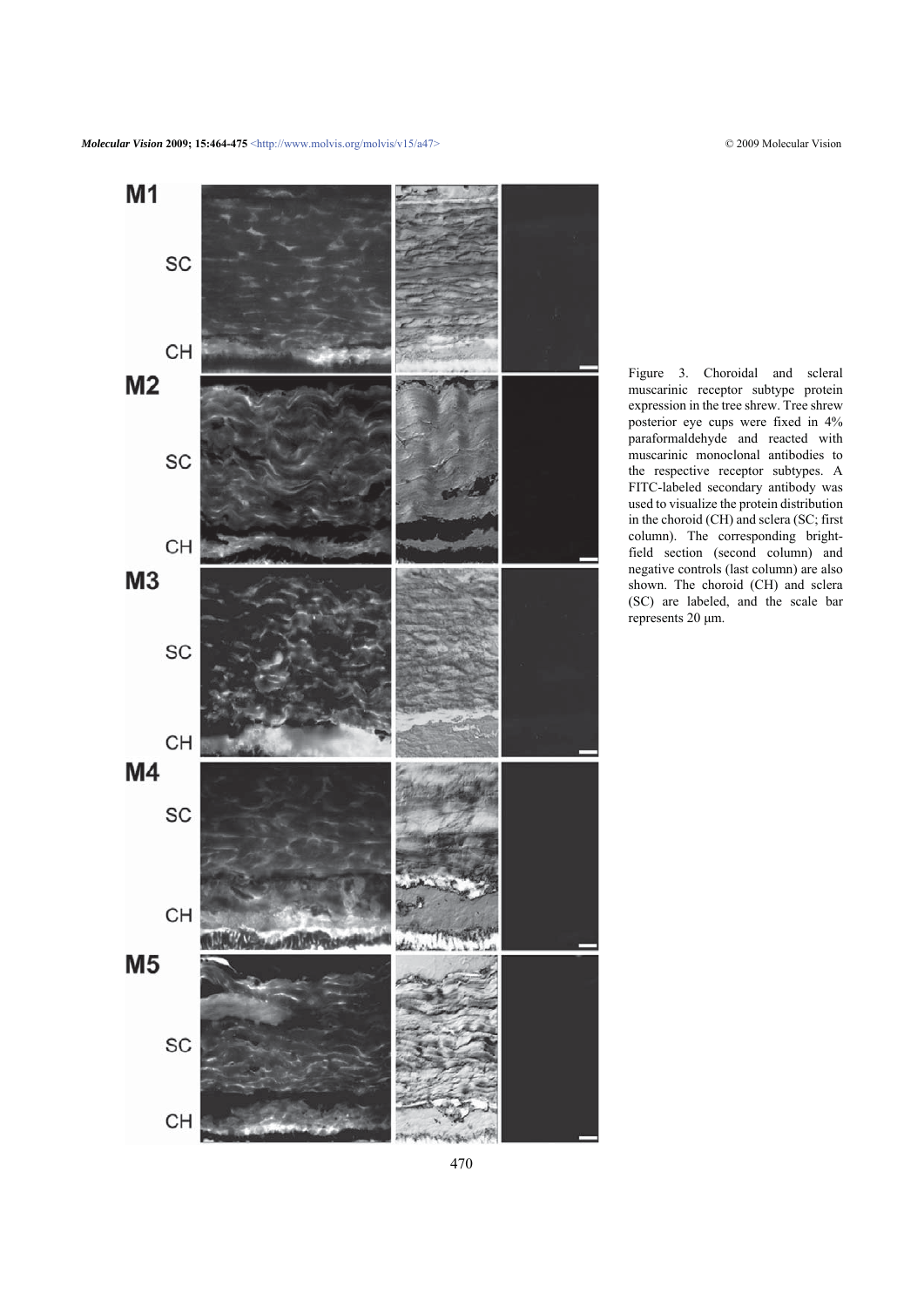

Figure 3. Choroidal and scleral muscarinic receptor subtype protein expression in the tree shrew. Tree shrew posterior eye cups were fixed in 4% paraformaldehyde and reacted with muscarinic monoclonal antibodies to the respective receptor subtypes. A FITC-labeled secondary antibody was used to visualize the protein distribution in the choroid (CH) and sclera (SC; first column). The corresponding brightfield section (second column) and negative controls (last column) are also shown. The choroid (CH) and sclera (SC) are labeled, and the scale bar represents 20 μm.

470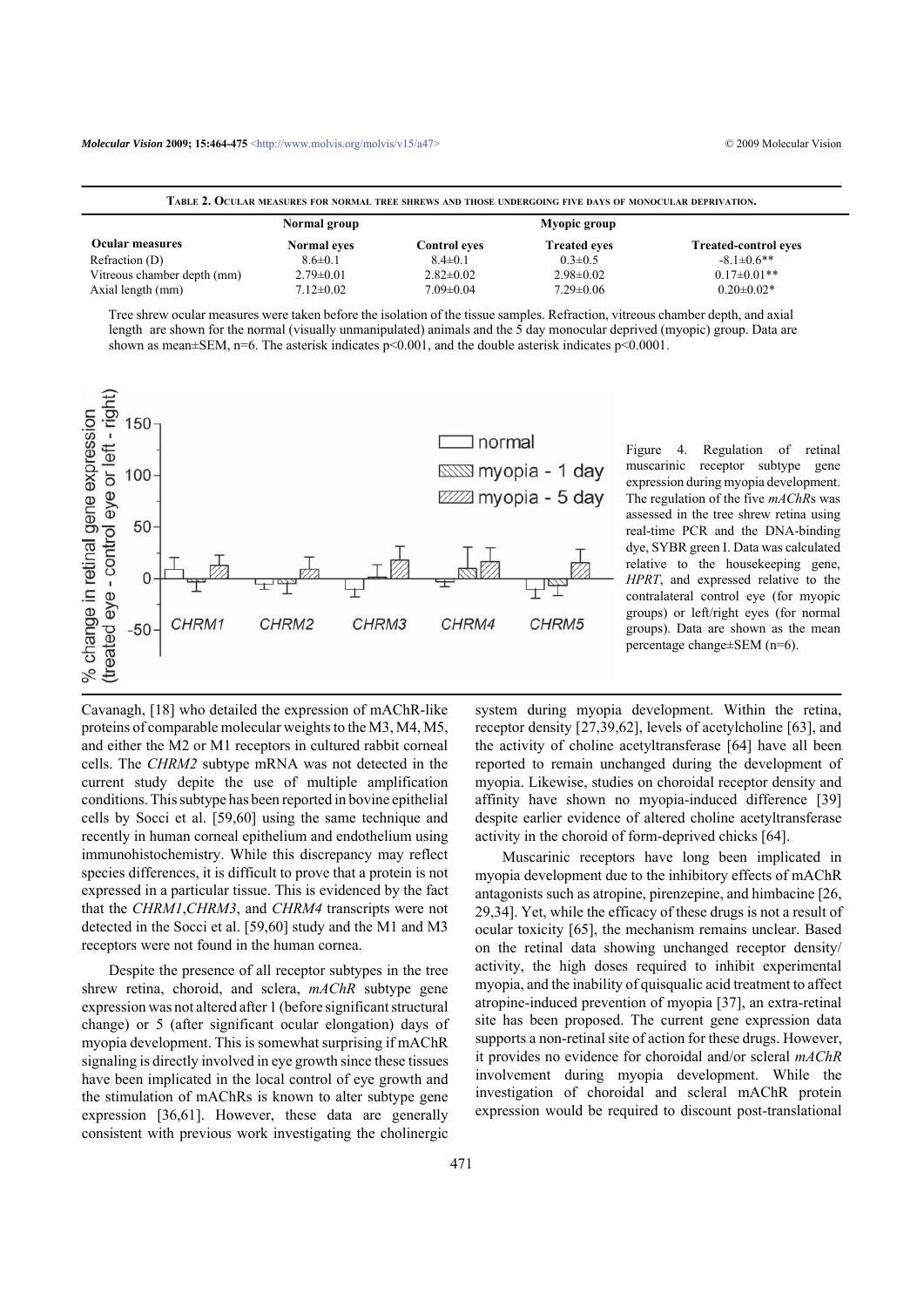| TABLE 2. OCULAR MEASURES FOR NORMAL TREE SHREWS AND THOSE UNDERGOING FIVE DAYS OF MONOCULAR DEPRIVATION. |                 |                     |                     |                             |  |  |  |  |  |
|----------------------------------------------------------------------------------------------------------|-----------------|---------------------|---------------------|-----------------------------|--|--|--|--|--|
|                                                                                                          | Normal group    |                     | Myopic group        |                             |  |  |  |  |  |
| Ocular measures                                                                                          | Normal eyes     | <b>Control eyes</b> | <b>Treated eyes</b> | <b>Treated-control eyes</b> |  |  |  |  |  |
| Refraction (D)                                                                                           | $8.6 \pm 0.1$   | $8.4 \pm 0.1$       | $0.3 \pm 0.5$       | $-8.1\pm0.6**$              |  |  |  |  |  |
| Vitreous chamber depth (mm)                                                                              | $2.79 \pm 0.01$ | $2.82 \pm 0.02$     | $2.98 \pm 0.02$     | $0.17 \pm 0.01$ **          |  |  |  |  |  |
| Axial length (mm)                                                                                        | $7.12 \pm 0.02$ | $7.09 \pm 0.04$     | $7.29 \pm 0.06$     | $0.20 \pm 0.02*$            |  |  |  |  |  |

Tree shrew ocular measures were taken before the isolation of the tissue samples. Refraction, vitreous chamber depth, and axial length are shown for the normal (visually unmanipulated) animals and the  $\overline{5}$  day monocular deprived (myopic) group. Data are shown as mean±SEM, n=6. The asterisk indicates p<0.001, and the double asterisk indicates p<0.0001.



Figure 4. Regulation of retinal muscarinic receptor subtype gene expression during myopia development. The regulation of the five *mAChR*s was assessed in the tree shrew retina using real-time PCR and the DNA-binding dye, SYBR green I. Data was calculated relative to the housekeeping gene, *HPRT*, and expressed relative to the contralateral control eye (for myopic groups) or left/right eyes (for normal groups). Data are shown as the mean percentage change±SEM (n=6).

Cavanagh, [18] who detailed the expression of mAChR-like proteins of comparable molecular weights to the M3, M4, M5, and either the M2 or M1 receptors in cultured rabbit corneal cells. The *CHRM2* subtype mRNA was not detected in the current study depite the use of multiple amplification conditions. This subtype has been reported in bovine epithelial cells by Socci et al. [59,60] using the same technique and recently in human corneal epithelium and endothelium using immunohistochemistry. While this discrepancy may reflect species differences, it is difficult to prove that a protein is not expressed in a particular tissue. This is evidenced by the fact that the *CHRM1*,*CHRM3*, and *CHRM4* transcripts were not detected in the Socci et al. [59,60] study and the M1 and M3 receptors were not found in the human cornea.

Despite the presence of all receptor subtypes in the tree shrew retina, choroid, and sclera, *mAChR* subtype gene expression was not altered after 1 (before significant structural change) or 5 (after significant ocular elongation) days of myopia development. This is somewhat surprising if mAChR signaling is directly involved in eye growth since these tissues have been implicated in the local control of eye growth and the stimulation of mAChRs is known to alter subtype gene expression [36,61]. However, these data are generally consistent with previous work investigating the cholinergic system during myopia development. Within the retina, receptor density [27,39,62], levels of acetylcholine [63], and the activity of choline acetyltransferase [64] have all been reported to remain unchanged during the development of myopia. Likewise, studies on choroidal receptor density and affinity have shown no myopia-induced difference [39] despite earlier evidence of altered choline acetyltransferase activity in the choroid of form-deprived chicks [64].

Muscarinic receptors have long been implicated in myopia development due to the inhibitory effects of mAChR antagonists such as atropine, pirenzepine, and himbacine [26, 29,34]. Yet, while the efficacy of these drugs is not a result of ocular toxicity [65], the mechanism remains unclear. Based on the retinal data showing unchanged receptor density/ activity, the high doses required to inhibit experimental myopia, and the inability of quisqualic acid treatment to affect atropine-induced prevention of myopia [37], an extra-retinal site has been proposed. The current gene expression data supports a non-retinal site of action for these drugs. However, it provides no evidence for choroidal and/or scleral *mAChR* involvement during myopia development. While the investigation of choroidal and scleral mAChR protein expression would be required to discount post-translational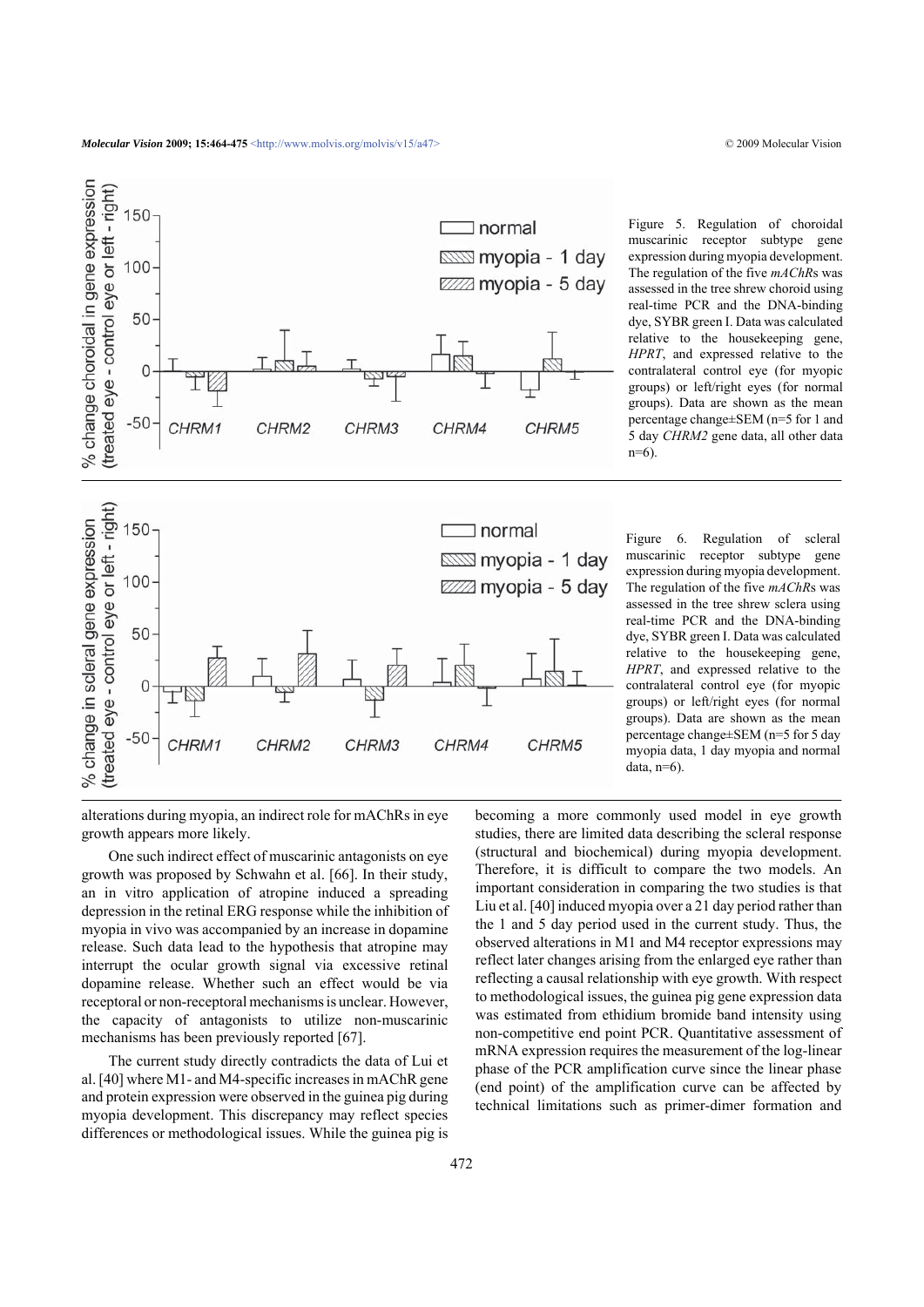

Figure 5. Regulation of choroidal muscarinic receptor subtype gene expression during myopia development. The regulation of the five *mAChR*s was assessed in the tree shrew choroid using real-time PCR and the DNA-binding dye, SYBR green I. Data was calculated relative to the housekeeping gene, *HPRT*, and expressed relative to the contralateral control eye (for myopic groups) or left/right eyes (for normal groups). Data are shown as the mean percentage change±SEM (n=5 for 1 and 5 day *CHRM2* gene data, all other data n=6).



Figure 6. Regulation of scleral muscarinic receptor subtype gene expression during myopia development. The regulation of the five *mAChR*s was assessed in the tree shrew sclera using real-time PCR and the DNA-binding dye, SYBR green I. Data was calculated relative to the housekeeping gene, *HPRT*, and expressed relative to the contralateral control eye (for myopic groups) or left/right eyes (for normal groups). Data are shown as the mean percentage change±SEM (n=5 for 5 day myopia data, 1 day myopia and normal data,  $n=6$ ).

alterations during myopia, an indirect role for mAChRs in eye growth appears more likely.

One such indirect effect of muscarinic antagonists on eye growth was proposed by Schwahn et al. [66]. In their study, an in vitro application of atropine induced a spreading depression in the retinal ERG response while the inhibition of myopia in vivo was accompanied by an increase in dopamine release. Such data lead to the hypothesis that atropine may interrupt the ocular growth signal via excessive retinal dopamine release. Whether such an effect would be via receptoral or non-receptoral mechanisms is unclear. However, the capacity of antagonists to utilize non-muscarinic mechanisms has been previously reported [67].

The current study directly contradicts the data of Lui et al. [40] where M1- and M4-specific increases in mAChR gene and protein expression were observed in the guinea pig during myopia development. This discrepancy may reflect species differences or methodological issues. While the guinea pig is

becoming a more commonly used model in eye growth studies, there are limited data describing the scleral response (structural and biochemical) during myopia development. Therefore, it is difficult to compare the two models. An important consideration in comparing the two studies is that Liu et al. [40] induced myopia over a 21 day period rather than the 1 and 5 day period used in the current study. Thus, the observed alterations in M1 and M4 receptor expressions may reflect later changes arising from the enlarged eye rather than reflecting a causal relationship with eye growth. With respect to methodological issues, the guinea pig gene expression data was estimated from ethidium bromide band intensity using non-competitive end point PCR. Quantitative assessment of mRNA expression requires the measurement of the log-linear phase of the PCR amplification curve since the linear phase (end point) of the amplification curve can be affected by technical limitations such as primer-dimer formation and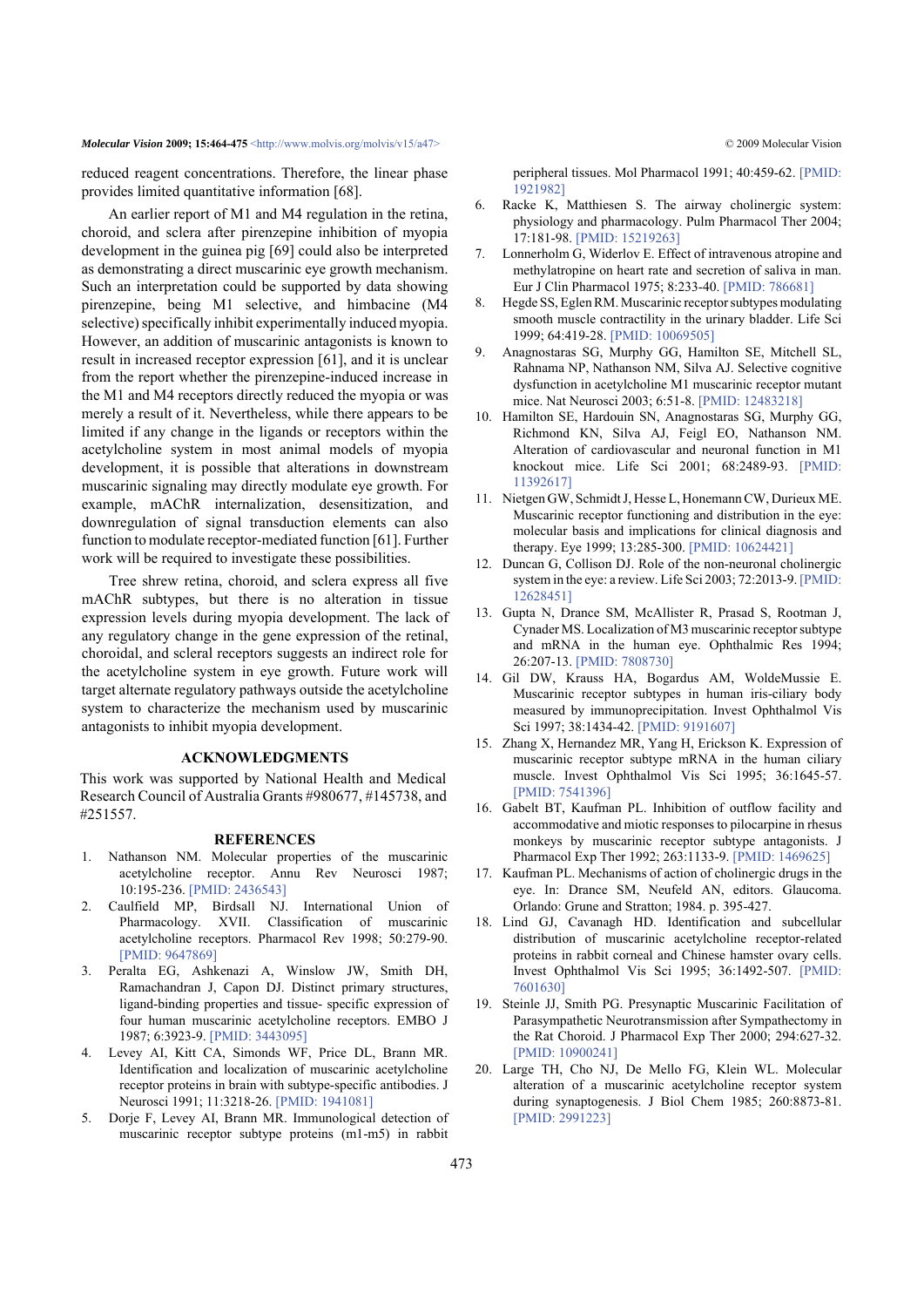reduced reagent concentrations. Therefore, the linear phase provides limited quantitative information [68].

An earlier report of M1 and M4 regulation in the retina, choroid, and sclera after pirenzepine inhibition of myopia development in the guinea pig [69] could also be interpreted as demonstrating a direct muscarinic eye growth mechanism. Such an interpretation could be supported by data showing pirenzepine, being M1 selective, and himbacine (M4 selective) specifically inhibit experimentally induced myopia. However, an addition of muscarinic antagonists is known to result in increased receptor expression [61], and it is unclear from the report whether the pirenzepine-induced increase in the M1 and M4 receptors directly reduced the myopia or was merely a result of it. Nevertheless, while there appears to be limited if any change in the ligands or receptors within the acetylcholine system in most animal models of myopia development, it is possible that alterations in downstream muscarinic signaling may directly modulate eye growth. For example, mAChR internalization, desensitization, and downregulation of signal transduction elements can also function to modulate receptor-mediated function [61]. Further work will be required to investigate these possibilities.

Tree shrew retina, choroid, and sclera express all five mAChR subtypes, but there is no alteration in tissue expression levels during myopia development. The lack of any regulatory change in the gene expression of the retinal, choroidal, and scleral receptors suggests an indirect role for the acetylcholine system in eye growth. Future work will target alternate regulatory pathways outside the acetylcholine system to characterize the mechanism used by muscarinic antagonists to inhibit myopia development.

#### **ACKNOWLEDGMENTS**

This work was supported by National Health and Medical Research Council of Australia Grants #980677, #145738, and #251557.

#### **REFERENCES**

- 1. Nathanson NM. Molecular properties of the muscarinic acetylcholine receptor. Annu Rev Neurosci 1987; 10:195-236. [PMID: 2436543]
- 2. Caulfield MP, Birdsall NJ. International Union of Pharmacology. XVII. Classification of muscarinic acetylcholine receptors. Pharmacol Rev 1998; 50:279-90. [PMID: 9647869]
- 3. Peralta EG, Ashkenazi A, Winslow JW, Smith DH, Ramachandran J, Capon DJ. Distinct primary structures, ligand-binding properties and tissue- specific expression of four human muscarinic acetylcholine receptors. EMBO J 1987; 6:3923-9. [PMID: 3443095]
- 4. Levey AI, Kitt CA, Simonds WF, Price DL, Brann MR. Identification and localization of muscarinic acetylcholine receptor proteins in brain with subtype-specific antibodies. J Neurosci 1991; 11:3218-26. [PMID: 1941081]
- 5. Dorje F, Levey AI, Brann MR. Immunological detection of muscarinic receptor subtype proteins (m1-m5) in rabbit

peripheral tissues. Mol Pharmacol 1991; 40:459-62. [PMID: 1921982]

- 6. Racke K, Matthiesen S. The airway cholinergic system: physiology and pharmacology. Pulm Pharmacol Ther 2004; 17:181-98. [PMID: 15219263]
- 7. Lonnerholm G, Widerlov E. Effect of intravenous atropine and methylatropine on heart rate and secretion of saliva in man. Eur J Clin Pharmacol 1975; 8:233-40. [PMID: 786681]
- 8. Hegde SS, Eglen RM. Muscarinic receptor subtypes modulating smooth muscle contractility in the urinary bladder. Life Sci 1999; 64:419-28. [PMID: 10069505]
- 9. Anagnostaras SG, Murphy GG, Hamilton SE, Mitchell SL, Rahnama NP, Nathanson NM, Silva AJ. Selective cognitive dysfunction in acetylcholine M1 muscarinic receptor mutant mice. Nat Neurosci 2003; 6:51-8. [PMID: 12483218]
- 10. Hamilton SE, Hardouin SN, Anagnostaras SG, Murphy GG, Richmond KN, Silva AJ, Feigl EO, Nathanson NM. Alteration of cardiovascular and neuronal function in M1 knockout mice. Life Sci 2001; 68:2489-93. [PMID: 11392617]
- 11. Nietgen GW, Schmidt J, Hesse L, Honemann CW, Durieux ME. Muscarinic receptor functioning and distribution in the eye: molecular basis and implications for clinical diagnosis and therapy. Eye 1999; 13:285-300. [PMID: 10624421]
- 12. Duncan G, Collison DJ. Role of the non-neuronal cholinergic system in the eye: a review. Life Sci 2003; 72:2013-9. [PMID: 12628451]
- 13. Gupta N, Drance SM, McAllister R, Prasad S, Rootman J, Cynader MS. Localization of M3 muscarinic receptor subtype and mRNA in the human eye. Ophthalmic Res 1994; 26:207-13. [PMID: 7808730]
- 14. Gil DW, Krauss HA, Bogardus AM, WoldeMussie E. Muscarinic receptor subtypes in human iris-ciliary body measured by immunoprecipitation. Invest Ophthalmol Vis Sci 1997; 38:1434-42. [PMID: 9191607]
- 15. Zhang X, Hernandez MR, Yang H, Erickson K. Expression of muscarinic receptor subtype mRNA in the human ciliary muscle. Invest Ophthalmol Vis Sci 1995; 36:1645-57. [PMID: 7541396]
- 16. Gabelt BT, Kaufman PL. Inhibition of outflow facility and accommodative and miotic responses to pilocarpine in rhesus monkeys by muscarinic receptor subtype antagonists. J Pharmacol Exp Ther 1992; 263:1133-9. [PMID: 1469625]
- 17. Kaufman PL. Mechanisms of action of cholinergic drugs in the eye. In: Drance SM, Neufeld AN, editors. Glaucoma. Orlando: Grune and Stratton; 1984. p. 395-427.
- 18. Lind GJ, Cavanagh HD. Identification and subcellular distribution of muscarinic acetylcholine receptor-related proteins in rabbit corneal and Chinese hamster ovary cells. Invest Ophthalmol Vis Sci 1995; 36:1492-507. [PMID: 7601630]
- 19. Steinle JJ, Smith PG. Presynaptic Muscarinic Facilitation of Parasympathetic Neurotransmission after Sympathectomy in the Rat Choroid. J Pharmacol Exp Ther 2000; 294:627-32. [PMID: 10900241]
- 20. Large TH, Cho NJ, De Mello FG, Klein WL. Molecular alteration of a muscarinic acetylcholine receptor system during synaptogenesis. J Biol Chem 1985; 260:8873-81. [PMID: 2991223]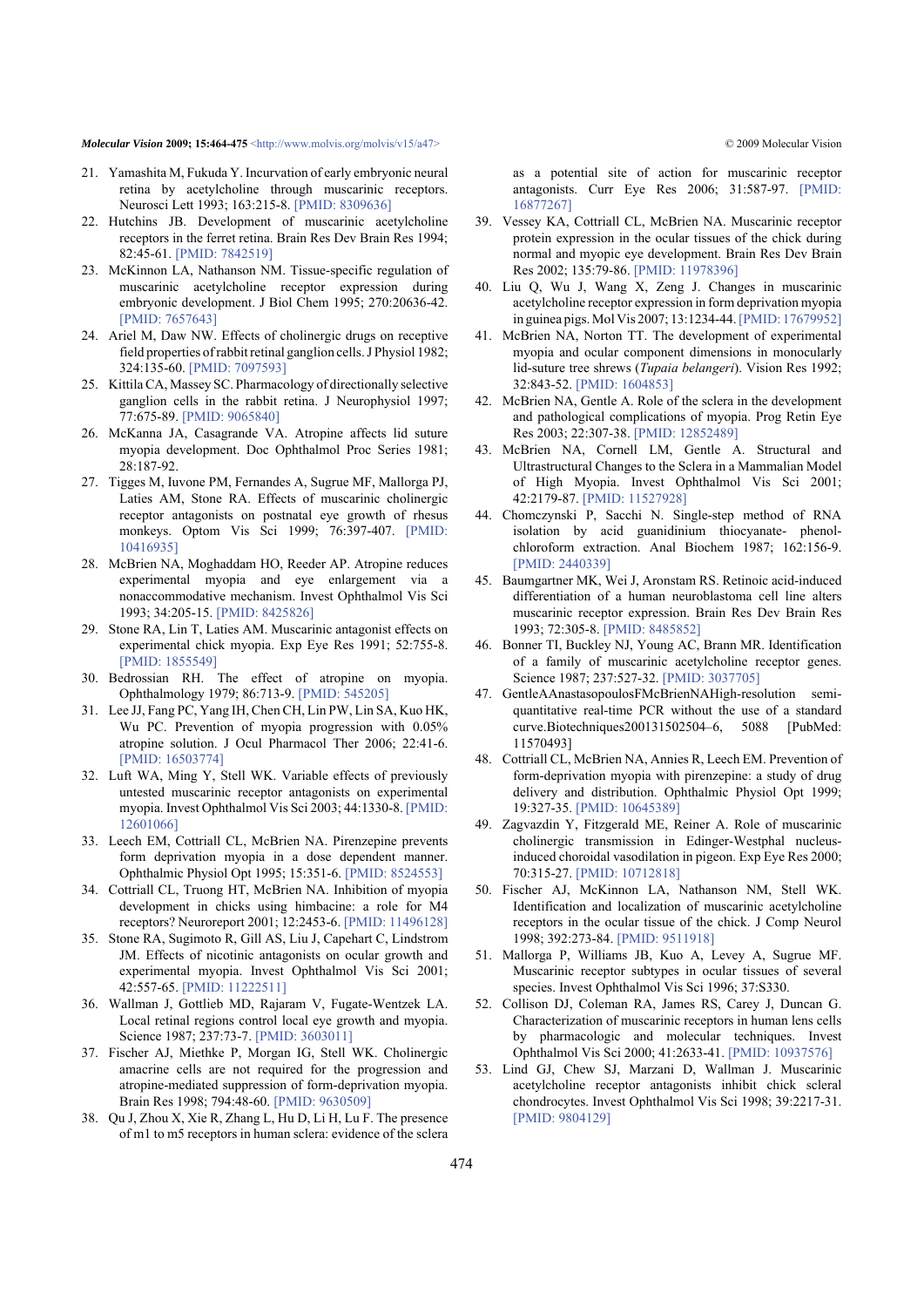- 21. Yamashita M, Fukuda Y. Incurvation of early embryonic neural retina by acetylcholine through muscarinic receptors. Neurosci Lett 1993; 163:215-8. [PMID: 8309636]
- 22. Hutchins JB. Development of muscarinic acetylcholine receptors in the ferret retina. Brain Res Dev Brain Res 1994; 82:45-61. [PMID: 7842519]
- 23. McKinnon LA, Nathanson NM. Tissue-specific regulation of muscarinic acetylcholine receptor expression during embryonic development. J Biol Chem 1995; 270:20636-42. [PMID: 7657643]
- 24. Ariel M, Daw NW. Effects of cholinergic drugs on receptive field properties of rabbit retinal ganglion cells. J Physiol 1982; 324:135-60. [PMID: 7097593]
- 25. Kittila CA, Massey SC. Pharmacology of directionally selective ganglion cells in the rabbit retina. J Neurophysiol 1997; 77:675-89. [PMID: 9065840]
- 26. McKanna JA, Casagrande VA. Atropine affects lid suture myopia development. Doc Ophthalmol Proc Series 1981; 28:187-92.
- 27. Tigges M, Iuvone PM, Fernandes A, Sugrue MF, Mallorga PJ, Laties AM, Stone RA. Effects of muscarinic cholinergic receptor antagonists on postnatal eye growth of rhesus monkeys. Optom Vis Sci 1999; 76:397-407. [PMID: 10416935]
- 28. McBrien NA, Moghaddam HO, Reeder AP. Atropine reduces experimental myopia and eye enlargement via a nonaccommodative mechanism. Invest Ophthalmol Vis Sci 1993; 34:205-15. [PMID: 8425826]
- 29. Stone RA, Lin T, Laties AM. Muscarinic antagonist effects on experimental chick myopia. Exp Eye Res 1991; 52:755-8. [PMID: 1855549]
- 30. Bedrossian RH. The effect of atropine on myopia. Ophthalmology 1979; 86:713-9. [PMID: 545205]
- 31. Lee JJ, Fang PC, Yang IH, Chen CH, Lin PW, Lin SA, Kuo HK, Wu PC. Prevention of myopia progression with 0.05% atropine solution. J Ocul Pharmacol Ther 2006; 22:41-6. [PMID: 16503774]
- 32. Luft WA, Ming Y, Stell WK. Variable effects of previously untested muscarinic receptor antagonists on experimental myopia. Invest Ophthalmol Vis Sci 2003; 44:1330-8. [PMID: 12601066]
- 33. Leech EM, Cottriall CL, McBrien NA. Pirenzepine prevents form deprivation myopia in a dose dependent manner. Ophthalmic Physiol Opt 1995; 15:351-6. [PMID: 8524553]
- 34. Cottriall CL, Truong HT, McBrien NA. Inhibition of myopia development in chicks using himbacine: a role for M4 receptors? Neuroreport 2001; 12:2453-6. [PMID: 11496128]
- 35. Stone RA, Sugimoto R, Gill AS, Liu J, Capehart C, Lindstrom JM. Effects of nicotinic antagonists on ocular growth and experimental myopia. Invest Ophthalmol Vis Sci 2001; 42:557-65. [PMID: 11222511]
- 36. Wallman J, Gottlieb MD, Rajaram V, Fugate-Wentzek LA. Local retinal regions control local eye growth and myopia. Science 1987; 237:73-7. [PMID: 3603011]
- 37. Fischer AJ, Miethke P, Morgan IG, Stell WK. Cholinergic amacrine cells are not required for the progression and atropine-mediated suppression of form-deprivation myopia. Brain Res 1998; 794:48-60. [PMID: 9630509]
- 38. Qu J, Zhou X, Xie R, Zhang L, Hu D, Li H, Lu F. The presence of m1 to m5 receptors in human sclera: evidence of the sclera

as a potential site of action for muscarinic receptor antagonists. Curr Eye Res 2006; 31:587-97. [PMID: 16877267]

- 39. Vessey KA, Cottriall CL, McBrien NA. Muscarinic receptor protein expression in the ocular tissues of the chick during normal and myopic eye development. Brain Res Dev Brain Res 2002; 135:79-86. [PMID: 11978396]
- 40. Liu Q, Wu J, Wang X, Zeng J. Changes in muscarinic acetylcholine receptor expression in form deprivation myopia in guinea pigs. Mol Vis 2007; 13:1234-44. [PMID: 17679952]
- 41. McBrien NA, Norton TT. The development of experimental myopia and ocular component dimensions in monocularly lid-suture tree shrews (*Tupaia belangeri*). Vision Res 1992; 32:843-52. [PMID: 1604853]
- 42. McBrien NA, Gentle A. Role of the sclera in the development and pathological complications of myopia. Prog Retin Eye Res 2003; 22:307-38. [PMID: 12852489]
- 43. McBrien NA, Cornell LM, Gentle A. Structural and Ultrastructural Changes to the Sclera in a Mammalian Model of High Myopia. Invest Ophthalmol Vis Sci 2001; 42:2179-87. [PMID: 11527928]
- 44. Chomczynski P, Sacchi N. Single-step method of RNA isolation by acid guanidinium thiocyanate- phenolchloroform extraction. Anal Biochem 1987; 162:156-9. [PMID: 2440339]
- 45. Baumgartner MK, Wei J, Aronstam RS. Retinoic acid-induced differentiation of a human neuroblastoma cell line alters muscarinic receptor expression. Brain Res Dev Brain Res 1993; 72:305-8. [PMID: 8485852]
- 46. Bonner TI, Buckley NJ, Young AC, Brann MR. Identification of a family of muscarinic acetylcholine receptor genes. Science 1987; 237:527-32. [PMID: 3037705]
- 47. GentleAAnastasopoulosFMcBrienNAHigh-resolution semiquantitative real-time PCR without the use of a standard curve.Biotechniques200131502504–6, 5088 [PubMed: 11570493]
- 48. Cottriall CL, McBrien NA, Annies R, Leech EM. Prevention of form-deprivation myopia with pirenzepine: a study of drug delivery and distribution. Ophthalmic Physiol Opt 1999; 19:327-35. [PMID: 10645389]
- 49. Zagvazdin Y, Fitzgerald ME, Reiner A. Role of muscarinic cholinergic transmission in Edinger-Westphal nucleusinduced choroidal vasodilation in pigeon. Exp Eye Res 2000; 70:315-27. [PMID: 10712818]
- 50. Fischer AJ, McKinnon LA, Nathanson NM, Stell WK. Identification and localization of muscarinic acetylcholine receptors in the ocular tissue of the chick. J Comp Neurol 1998; 392:273-84. [PMID: 9511918]
- 51. Mallorga P, Williams JB, Kuo A, Levey A, Sugrue MF. Muscarinic receptor subtypes in ocular tissues of several species. Invest Ophthalmol Vis Sci 1996; 37:S330.
- 52. Collison DJ, Coleman RA, James RS, Carey J, Duncan G. Characterization of muscarinic receptors in human lens cells by pharmacologic and molecular techniques. Invest Ophthalmol Vis Sci 2000; 41:2633-41. [PMID: 10937576]
- 53. Lind GJ, Chew SJ, Marzani D, Wallman J. Muscarinic acetylcholine receptor antagonists inhibit chick scleral chondrocytes. Invest Ophthalmol Vis Sci 1998; 39:2217-31. [PMID: 9804129]